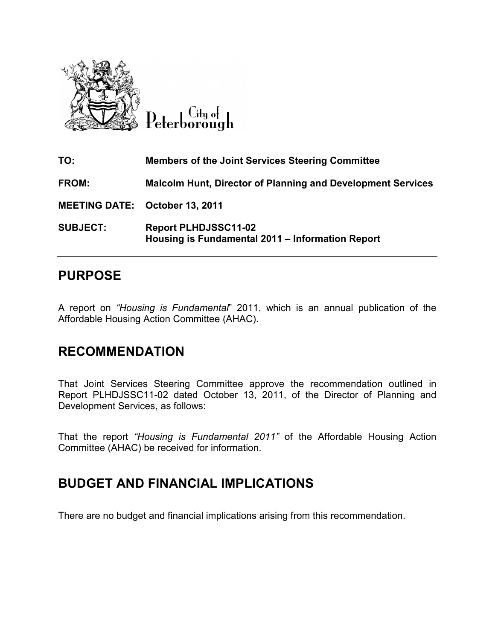

 $C$ ity of Peterborough

| TO:                                   | <b>Members of the Joint Services Steering Committee</b>                         |
|---------------------------------------|---------------------------------------------------------------------------------|
| <b>FROM:</b>                          | <b>Malcolm Hunt, Director of Planning and Development Services</b>              |
| <b>MEETING DATE: October 13, 2011</b> |                                                                                 |
| <b>SUBJECT:</b>                       | <b>Report PLHDJSSC11-02</b><br>Housing is Fundamental 2011 - Information Report |

## **PURPOSE**

A report on *"Housing is Fundamental*" 2011, which is an annual publication of the Affordable Housing Action Committee (AHAC).

## **RECOMMENDATION**

That Joint Services Steering Committee approve the recommendation outlined in Report PLHDJSSC11-02 dated October 13, 2011, of the Director of Planning and Development Services, as follows:

That the report *"Housing is Fundamental 2011"* of the Affordable Housing Action Committee (AHAC) be received for information.

#### **BUDGET AND FINANCIAL IMPLICATIONS**

There are no budget and financial implications arising from this recommendation.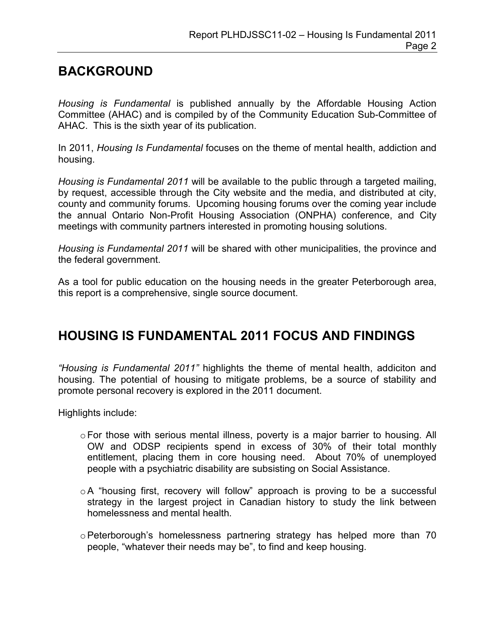# **BACKGROUND**

*Housing is Fundamental* is published annually by the Affordable Housing Action Committee (AHAC) and is compiled by of the Community Education Sub-Committee of AHAC. This is the sixth year of its publication.

In 2011, *Housing Is Fundamental* focuses on the theme of mental health, addiction and housing.

*Housing is Fundamental 2011* will be available to the public through a targeted mailing, by request, accessible through the City website and the media, and distributed at city, county and community forums. Upcoming housing forums over the coming year include the annual Ontario Non-Profit Housing Association (ONPHA) conference, and City meetings with community partners interested in promoting housing solutions.

*Housing is Fundamental 2011* will be shared with other municipalities, the province and the federal government.

As a tool for public education on the housing needs in the greater Peterborough area, this report is a comprehensive, single source document.

# **HOUSING IS FUNDAMENTAL 2011 FOCUS AND FINDINGS**

*"Housing is Fundamental 2011"* highlights the theme of mental health, addiciton and housing. The potential of housing to mitigate problems, be a source of stability and promote personal recovery is explored in the 2011 document.

Highlights include:

- o For those with serious mental illness, poverty is a major barrier to housing. All OW and ODSP recipients spend in excess of 30% of their total monthly entitlement, placing them in core housing need. About 70% of unemployed people with a psychiatric disability are subsisting on Social Assistance.
- $\circ$  A "housing first, recovery will follow" approach is proving to be a successful strategy in the largest project in Canadian history to study the link between homelessness and mental health.
- o Peterborough's homelessness partnering strategy has helped more than 70 people, "whatever their needs may be", to find and keep housing.